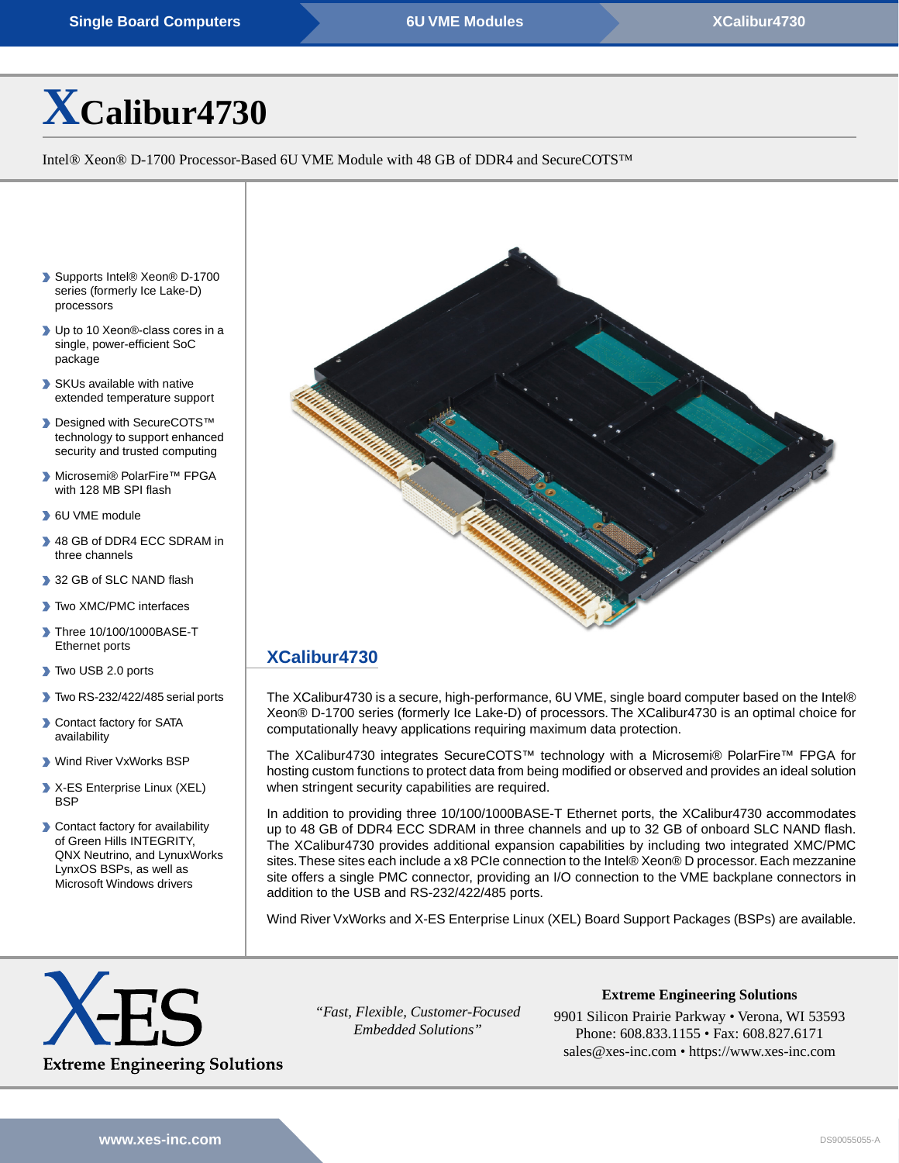# **[X](https://www.xes-inc.com/products/sbcs/xcalibur4730/?utm_source=dynamic&utm_medium=referral&utm_term=XCalibur4730&utm_content=Title&utm_campaign=Datasheet)[Calibur4730](https://www.xes-inc.com/products/sbcs/xcalibur4730/?utm_source=dynamic&utm_medium=referral&utm_term=XCalibur4730&utm_content=Title&utm_campaign=Datasheet)**

Intel® Xeon® D-1700 Processor-Based 6U VME Module with 48 GB of DDR4 and SecureCOTS™

- ▶ Supports Intel<sup>®</sup> Xeon<sup>®</sup> D-1700 series (formerly Ice Lake-D) processors
- ▶ Up to 10 Xeon<sup>®</sup>-class cores in a single, power-efficient SoC package
- SKUs available with native extended temperature support
- Designed with SecureCOTS™ technology to support enhanced security and trusted computing
- Microsemi® PolarFire™ FPGA with 128 MB SPI flash
- 6U VME module
- 48 GB of DDR4 ECC SDRAM in three channels
- 32 GB of SLC NAND flash
- Two XMC/PMC interfaces
- Three 10/100/1000BASE-T Ethernet ports
- Two USB 2.0 ports
- Two RS-232/422/485 serial ports
- **Contact factory for SATA** availability
- Wind River VxWorks BSP
- X-ES Enterprise Linux (XEL) **BSP**
- **Contact factory for availability** of Green Hills INTEGRITY, QNX Neutrino, and LynuxWorks LynxOS BSPs, as well as Microsoft Windows drivers



## **[XCalibur4730](https://www.xes-inc.com/products/sbcs/xcalibur4730/?utm_source=dynamic&utm_medium=referral&utm_term=XCalibur4730&utm_content=Description%20Title&utm_campaign=Datasheet)**

The XCalibur4730 is a secure, high-performance, 6U VME, single board computer based on the Intel® Xeon® D-1700 series (formerly Ice Lake-D) of processors. The XCalibur4730 is an optimal choice for computationally heavy applications requiring maximum data protection.

The XCalibur4730 integrates SecureCOTS™ technology with a Microsemi® PolarFire™ FPGA for hosting custom functions to protect data from being modified or observed and provides an ideal solution when stringent security capabilities are required.

In addition to providing three 10/100/1000BASE-T Ethernet ports, the XCalibur4730 accommodates up to 48 GB of DDR4 ECC SDRAM in three channels and up to 32 GB of onboard SLC NAND flash. The XCalibur4730 provides additional expansion capabilities by including two integrated XMC/PMC sites.These sites each include a x8 PCIe connection to the Intel® Xeon® D processor. Each mezzanine site offers a single PMC connector, providing an I/O connection to the VME backplane connectors in addition to the USB and RS-232/422/485 ports.

Wind River VxWorks and X-ES Enterprise Linux (XEL) Board Support Packages (BSPs) are available.



*"Fast, Flexible, Customer-Focused Embedded Solutions"*

**Extreme Engineering Solutions**

9901 Silicon Prairie Parkway • Verona, WI 53593 Phone: 608.833.1155 • Fax: 608.827.6171 sales@xes-inc.com • <https://www.xes-inc.com>